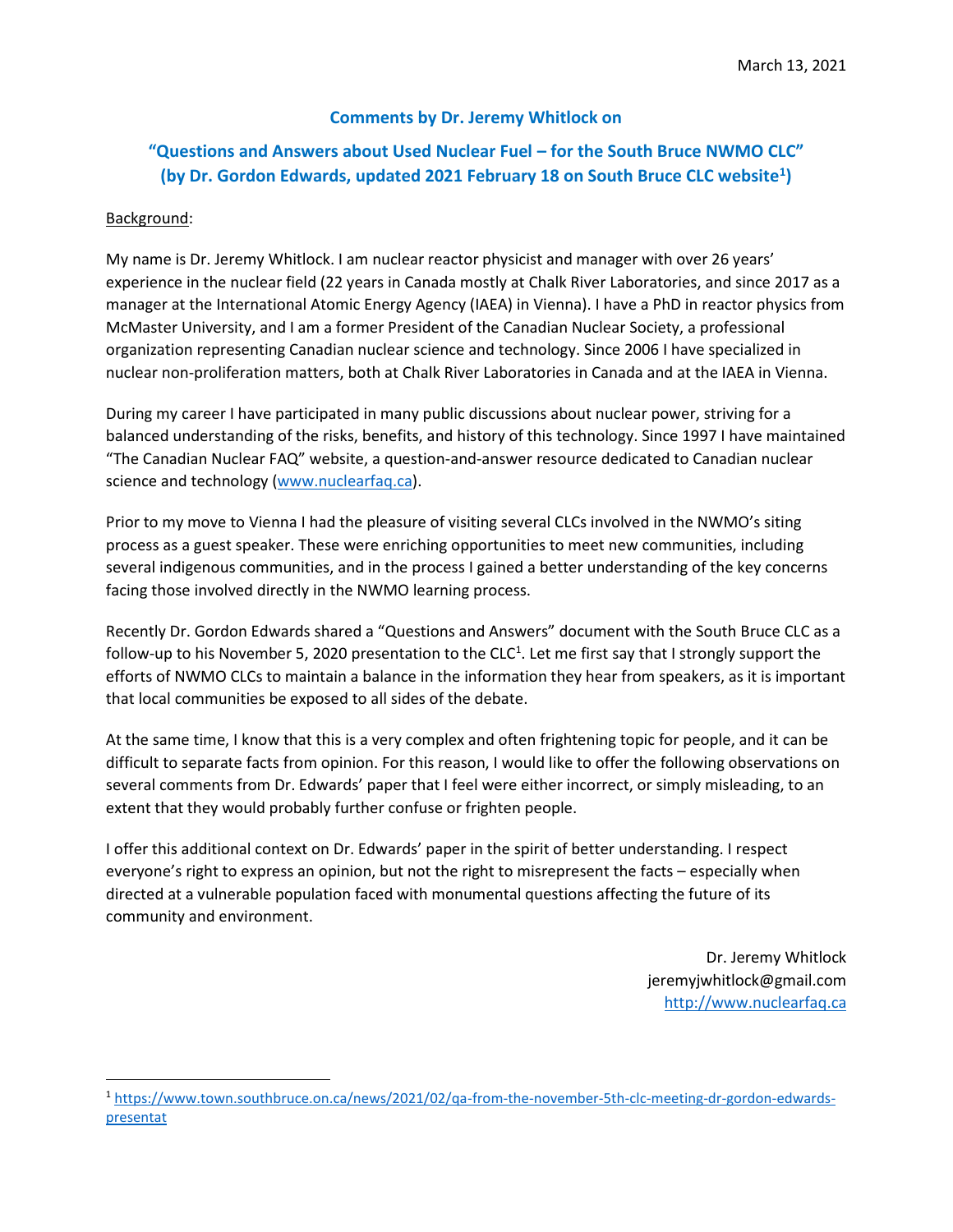# **Comments by Dr. Jeremy Whitlock on**

# **"Questions and Answers about Used Nuclear Fuel – for the South Bruce NWMO CLC" (by Dr. Gordon Edwards, updated 2021 February 18 on South Bruce CLC website<sup>1</sup> )**

# Background:

 $\overline{a}$ 

My name is Dr. Jeremy Whitlock. I am nuclear reactor physicist and manager with over 26 years' experience in the nuclear field (22 years in Canada mostly at Chalk River Laboratories, and since 2017 as a manager at the International Atomic Energy Agency (IAEA) in Vienna). I have a PhD in reactor physics from McMaster University, and I am a former President of the Canadian Nuclear Society, a professional organization representing Canadian nuclear science and technology. Since 2006 I have specialized in nuclear non-proliferation matters, both at Chalk River Laboratories in Canada and at the IAEA in Vienna.

During my career I have participated in many public discussions about nuclear power, striving for a balanced understanding of the risks, benefits, and history of this technology. Since 1997 I have maintained "The Canadian Nuclear FAQ" website, a question-and-answer resource dedicated to Canadian nuclear science and technology [\(www.nuclearfaq.ca\)](http://www.nuclearfaq.ca/).

Prior to my move to Vienna I had the pleasure of visiting several CLCs involved in the NWMO's siting process as a guest speaker. These were enriching opportunities to meet new communities, including several indigenous communities, and in the process I gained a better understanding of the key concerns facing those involved directly in the NWMO learning process.

Recently Dr. Gordon Edwards shared a "Questions and Answers" document with the South Bruce CLC as a follow-up to his November 5, 2020 presentation to the CLC<sup>1</sup>. Let me first say that I strongly support the efforts of NWMO CLCs to maintain a balance in the information they hear from speakers, as it is important that local communities be exposed to all sides of the debate.

At the same time, I know that this is a very complex and often frightening topic for people, and it can be difficult to separate facts from opinion. For this reason, I would like to offer the following observations on several comments from Dr. Edwards' paper that I feel were either incorrect, or simply misleading, to an extent that they would probably further confuse or frighten people.

I offer this additional context on Dr. Edwards' paper in the spirit of better understanding. I respect everyone's right to express an opinion, but not the right to misrepresent the facts – especially when directed at a vulnerable population faced with monumental questions affecting the future of its community and environment.

> Dr. Jeremy Whitlock jeremyjwhitlock@gmail.com [http://www.nuclearfaq.ca](http://www.nuclearfaq.ca/)

<sup>1</sup> [https://www.town.southbruce.on.ca/news/2021/02/qa-from-the-november-5th-clc-meeting-dr-gordon-edwards](https://www.town.southbruce.on.ca/news/2021/02/qa-from-the-november-5th-clc-meeting-dr-gordon-edwards-presentat)[presentat](https://www.town.southbruce.on.ca/news/2021/02/qa-from-the-november-5th-clc-meeting-dr-gordon-edwards-presentat)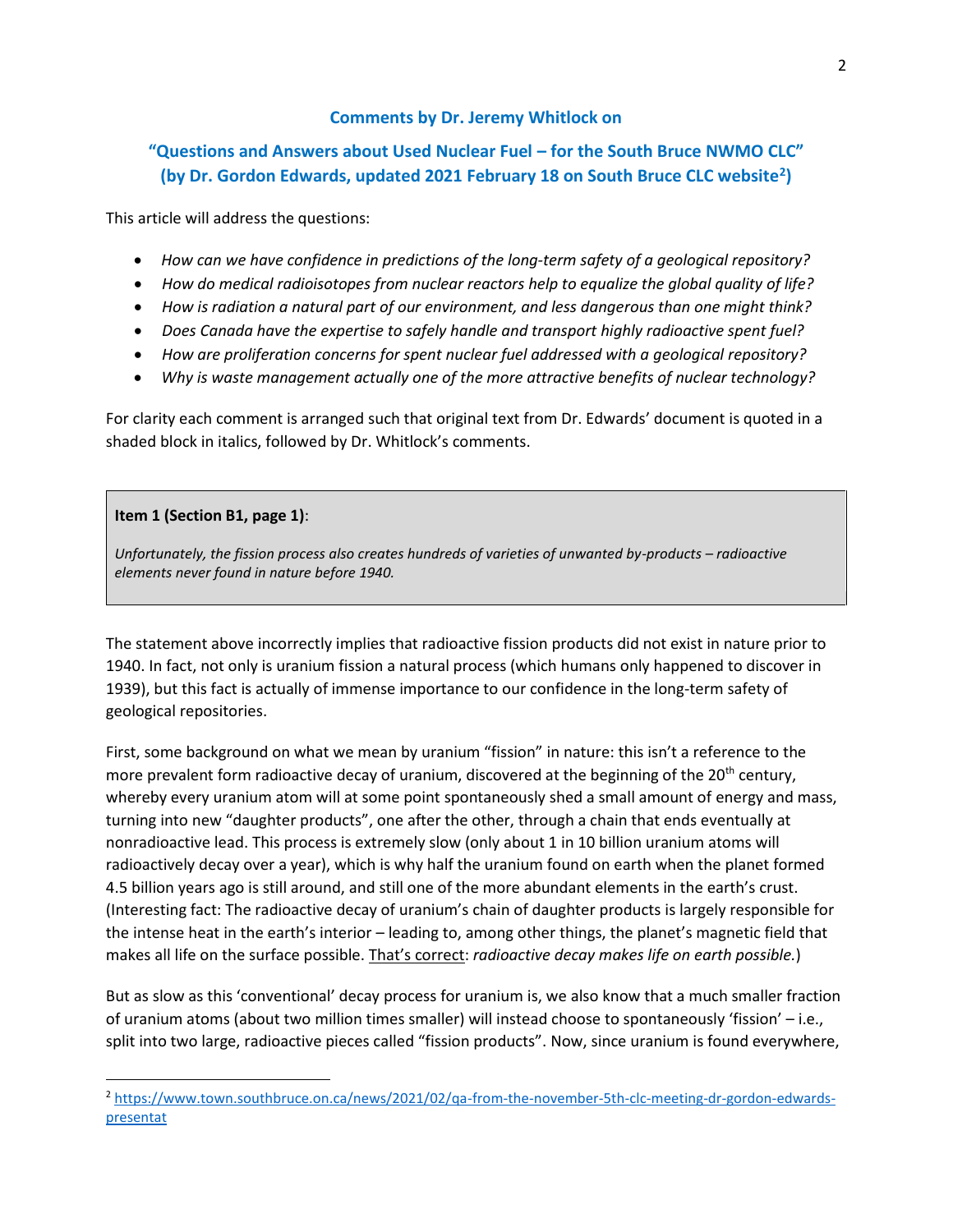# **Comments by Dr. Jeremy Whitlock on**

# **"Questions and Answers about Used Nuclear Fuel – for the South Bruce NWMO CLC" (by Dr. Gordon Edwards, updated 2021 February 18 on South Bruce CLC website<sup>2</sup> )**

This article will address the questions:

- *How can we have confidence in predictions of the long-term safety of a geological repository?*
- *How do medical radioisotopes from nuclear reactors help to equalize the global quality of life?*
- *How is radiation a natural part of our environment, and less dangerous than one might think?*
- *Does Canada have the expertise to safely handle and transport highly radioactive spent fuel?*
- *How are proliferation concerns for spent nuclear fuel addressed with a geological repository?*
- *Why is waste management actually one of the more attractive benefits of nuclear technology?*

For clarity each comment is arranged such that original text from Dr. Edwards' document is quoted in a shaded block in italics, followed by Dr. Whitlock's comments.

## **Item 1 (Section B1, page 1)**:

 $\overline{a}$ 

*Unfortunately, the fission process also creates hundreds of varieties of unwanted by-products – radioactive elements never found in nature before 1940.*

The statement above incorrectly implies that radioactive fission products did not exist in nature prior to 1940. In fact, not only is uranium fission a natural process (which humans only happened to discover in 1939), but this fact is actually of immense importance to our confidence in the long-term safety of geological repositories.

First, some background on what we mean by uranium "fission" in nature: this isn't a reference to the more prevalent form radioactive decay of uranium, discovered at the beginning of the  $20<sup>th</sup>$  century, whereby every uranium atom will at some point spontaneously shed a small amount of energy and mass, turning into new "daughter products", one after the other, through a chain that ends eventually at nonradioactive lead. This process is extremely slow (only about 1 in 10 billion uranium atoms will radioactively decay over a year), which is why half the uranium found on earth when the planet formed 4.5 billion years ago is still around, and still one of the more abundant elements in the earth's crust. (Interesting fact: The radioactive decay of uranium's chain of daughter products is largely responsible for the intense heat in the earth's interior – leading to, among other things, the planet's magnetic field that makes all life on the surface possible. That's correct: *radioactive decay makes life on earth possible.*)

But as slow as this 'conventional' decay process for uranium is, we also know that a much smaller fraction of uranium atoms (about two million times smaller) will instead choose to spontaneously 'fission' – i.e., split into two large, radioactive pieces called "fission products". Now, since uranium is found everywhere,

<sup>2</sup> [https://www.town.southbruce.on.ca/news/2021/02/qa-from-the-november-5th-clc-meeting-dr-gordon-edwards](https://www.town.southbruce.on.ca/news/2021/02/qa-from-the-november-5th-clc-meeting-dr-gordon-edwards-presentat)[presentat](https://www.town.southbruce.on.ca/news/2021/02/qa-from-the-november-5th-clc-meeting-dr-gordon-edwards-presentat)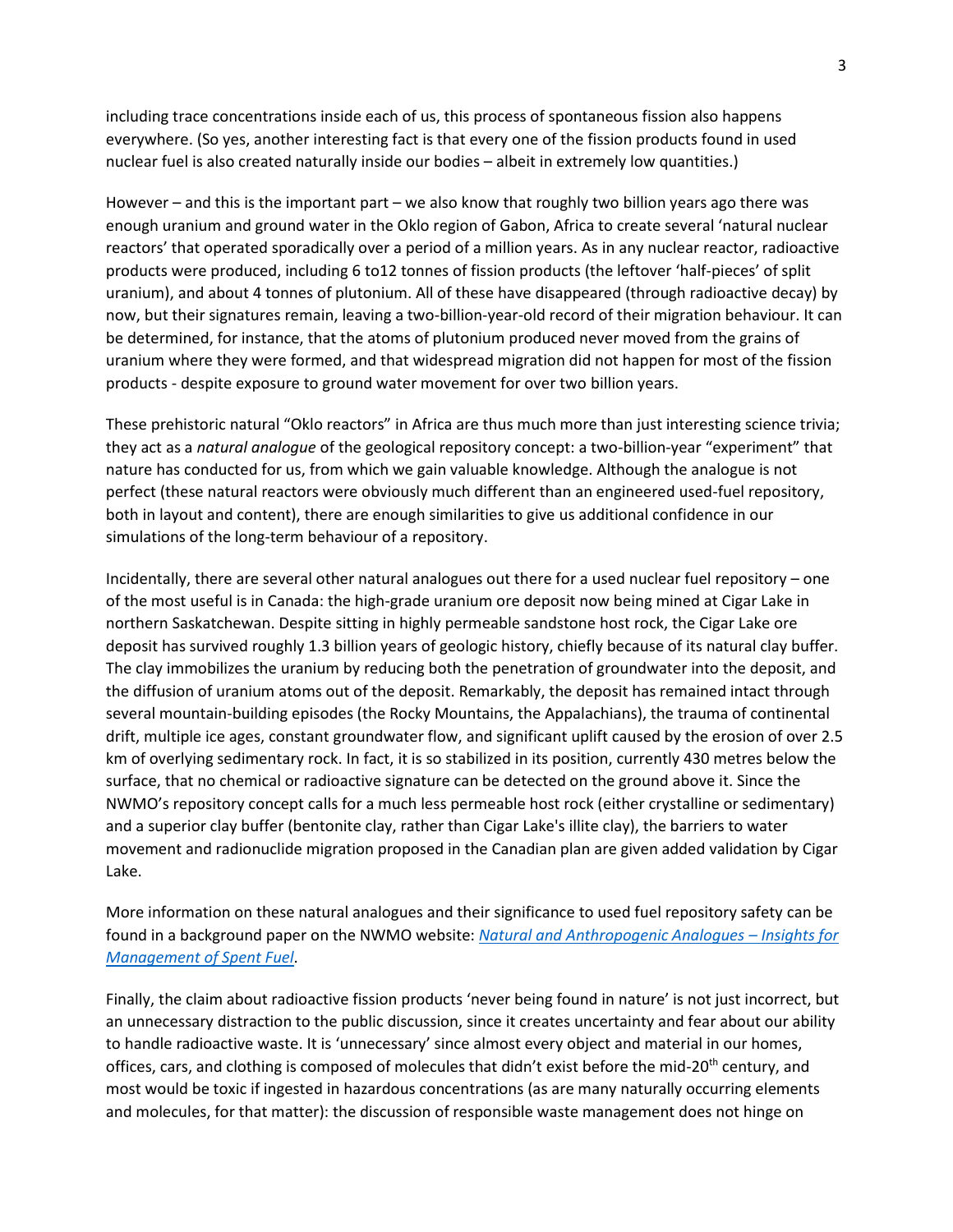including trace concentrations inside each of us, this process of spontaneous fission also happens everywhere. (So yes, another interesting fact is that every one of the fission products found in used nuclear fuel is also created naturally inside our bodies – albeit in extremely low quantities.)

However – and this is the important part – we also know that roughly two billion years ago there was enough uranium and ground water in the Oklo region of Gabon, Africa to create several 'natural nuclear reactors' that operated sporadically over a period of a million years. As in any nuclear reactor, radioactive products were produced, including 6 to12 tonnes of fission products (the leftover 'half-pieces' of split uranium), and about 4 tonnes of plutonium. All of these have disappeared (through radioactive decay) by now, but their signatures remain, leaving a two-billion-year-old record of their migration behaviour. It can be determined, for instance, that the atoms of plutonium produced never moved from the grains of uranium where they were formed, and that widespread migration did not happen for most of the fission products - despite exposure to ground water movement for over two billion years.

These prehistoric natural "Oklo reactors" in Africa are thus much more than just interesting science trivia; they act as a *natural analogue* of the geological repository concept: a two-billion-year "experiment" that nature has conducted for us, from which we gain valuable knowledge. Although the analogue is not perfect (these natural reactors were obviously much different than an engineered used-fuel repository, both in layout and content), there are enough similarities to give us additional confidence in our simulations of the long-term behaviour of a repository.

Incidentally, there are several other natural analogues out there for a used nuclear fuel repository – one of the most useful is in Canada: the high-grade uranium ore deposit now being mined at Cigar Lake in northern Saskatchewan. Despite sitting in highly permeable sandstone host rock, the Cigar Lake ore deposit has survived roughly 1.3 billion years of geologic history, chiefly because of its natural clay buffer. The clay immobilizes the uranium by reducing both the penetration of groundwater into the deposit, and the diffusion of uranium atoms out of the deposit. Remarkably, the deposit has remained intact through several mountain-building episodes (the Rocky Mountains, the Appalachians), the trauma of continental drift, multiple ice ages, constant groundwater flow, and significant uplift caused by the erosion of over 2.5 km of overlying sedimentary rock. In fact, it is so stabilized in its position, currently 430 metres below the surface, that no chemical or radioactive signature can be detected on the ground above it. Since the NWMO's repository concept calls for a much less permeable host rock (either crystalline or sedimentary) and a superior clay buffer (bentonite clay, rather than Cigar Lake's illite clay), the barriers to water movement and radionuclide migration proposed in the Canadian plan are given added validation by Cigar Lake.

More information on these natural analogues and their significance to used fuel repository safety can be found in a background paper on the NWMO website: *[Natural and Anthropogenic Analogues](https://www.nwmo.ca/~/media/Site/Files/PDFs/2015/11/04/17/31/598_4-3NaturalandAnthropogenicAnalogues-InsightsforManagementofSpentFuel.ashx?la=en) – Insights for [Management of Spent Fuel](https://www.nwmo.ca/~/media/Site/Files/PDFs/2015/11/04/17/31/598_4-3NaturalandAnthropogenicAnalogues-InsightsforManagementofSpentFuel.ashx?la=en)*.

Finally, the claim about radioactive fission products 'never being found in nature' is not just incorrect, but an unnecessary distraction to the public discussion, since it creates uncertainty and fear about our ability to handle radioactive waste. It is 'unnecessary' since almost every object and material in our homes, offices, cars, and clothing is composed of molecules that didn't exist before the mid-20<sup>th</sup> century, and most would be toxic if ingested in hazardous concentrations (as are many naturally occurring elements and molecules, for that matter): the discussion of responsible waste management does not hinge on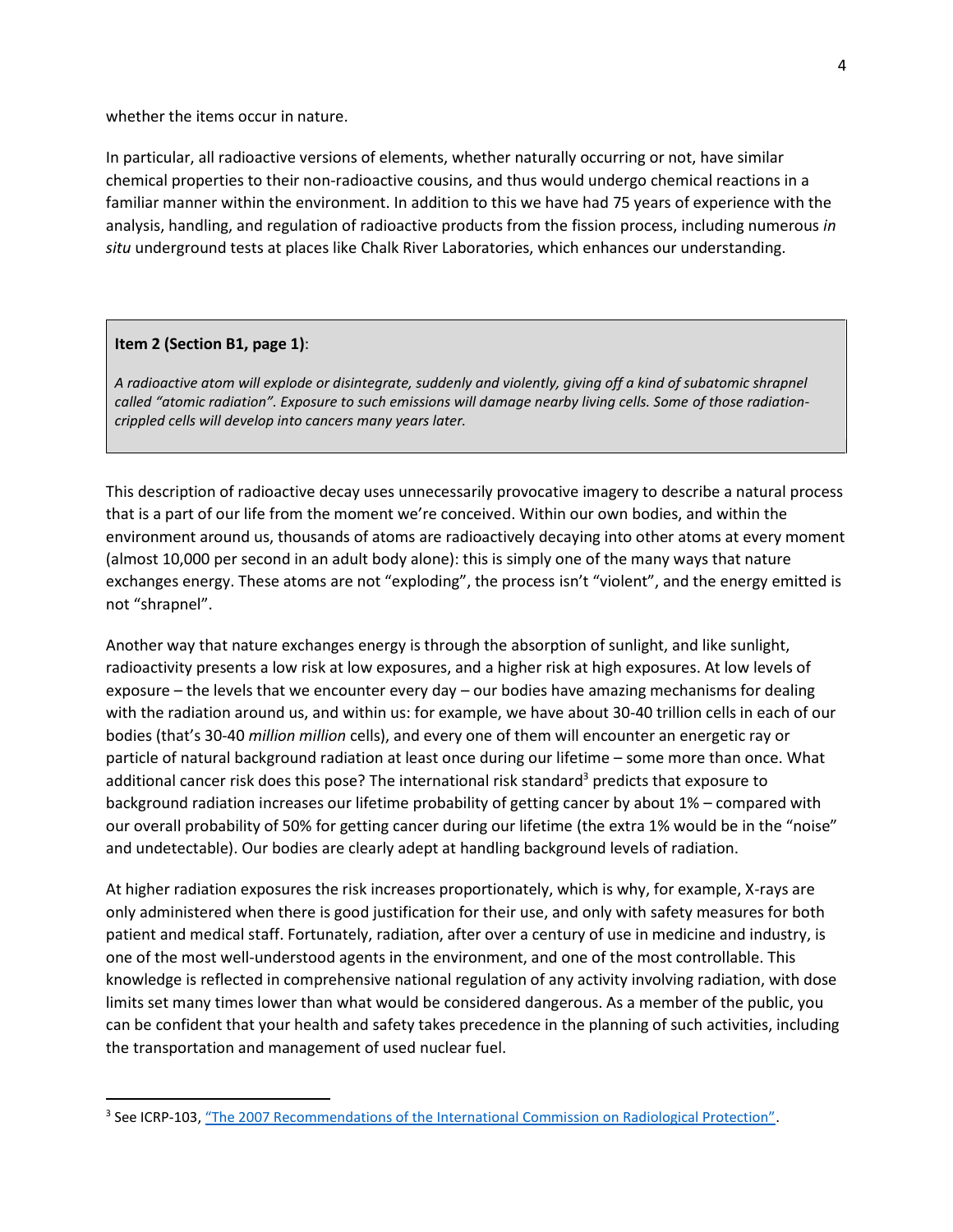whether the items occur in nature.

In particular, all radioactive versions of elements, whether naturally occurring or not, have similar chemical properties to their non-radioactive cousins, and thus would undergo chemical reactions in a familiar manner within the environment. In addition to this we have had 75 years of experience with the analysis, handling, and regulation of radioactive products from the fission process, including numerous *in situ* underground tests at places like Chalk River Laboratories, which enhances our understanding.

## **Item 2 (Section B1, page 1)**:

 $\overline{a}$ 

*A radioactive atom will explode or disintegrate, suddenly and violently, giving off a kind of subatomic shrapnel called "atomic radiation". Exposure to such emissions will damage nearby living cells. Some of those radiationcrippled cells will develop into cancers many years later.*

This description of radioactive decay uses unnecessarily provocative imagery to describe a natural process that is a part of our life from the moment we're conceived. Within our own bodies, and within the environment around us, thousands of atoms are radioactively decaying into other atoms at every moment (almost 10,000 per second in an adult body alone): this is simply one of the many ways that nature exchanges energy. These atoms are not "exploding", the process isn't "violent", and the energy emitted is not "shrapnel".

Another way that nature exchanges energy is through the absorption of sunlight, and like sunlight, radioactivity presents a low risk at low exposures, and a higher risk at high exposures. At low levels of exposure – the levels that we encounter every day – our bodies have amazing mechanisms for dealing with the radiation around us, and within us: for example, we have about 30-40 trillion cells in each of our bodies (that's 30-40 *million million* cells), and every one of them will encounter an energetic ray or particle of natural background radiation at least once during our lifetime – some more than once. What additional cancer risk does this pose? The international risk standard<sup>3</sup> predicts that exposure to background radiation increases our lifetime probability of getting cancer by about 1% – compared with our overall probability of 50% for getting cancer during our lifetime (the extra 1% would be in the "noise" and undetectable). Our bodies are clearly adept at handling background levels of radiation.

At higher radiation exposures the risk increases proportionately, which is why, for example, X-rays are only administered when there is good justification for their use, and only with safety measures for both patient and medical staff. Fortunately, radiation, after over a century of use in medicine and industry, is one of the most well-understood agents in the environment, and one of the most controllable. This knowledge is reflected in comprehensive national regulation of any activity involving radiation, with dose limits set many times lower than what would be considered dangerous. As a member of the public, you can be confident that your health and safety takes precedence in the planning of such activities, including the transportation and management of used nuclear fuel.

<sup>&</sup>lt;sup>3</sup> See ICRP-103, <u>["The 2007 Recommendations of the International Commission on Radiological Protection"](https://www.icrp.org/publication.asp?id=ICRP%20Publication%20103).</u>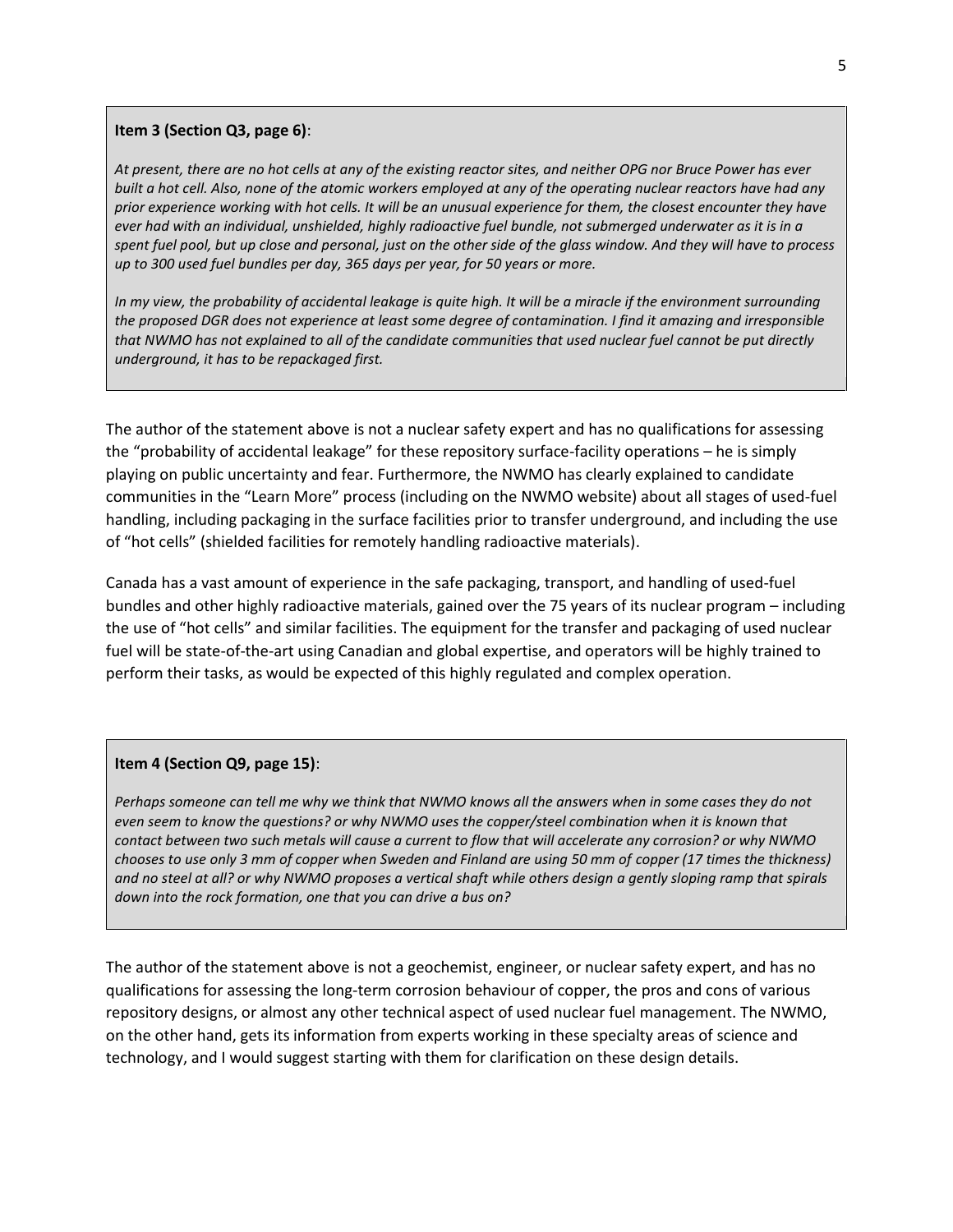#### **Item 3 (Section Q3, page 6)**:

*At present, there are no hot cells at any of the existing reactor sites, and neither OPG nor Bruce Power has ever built a hot cell. Also, none of the atomic workers employed at any of the operating nuclear reactors have had any prior experience working with hot cells. It will be an unusual experience for them, the closest encounter they have ever had with an individual, unshielded, highly radioactive fuel bundle, not submerged underwater as it is in a spent fuel pool, but up close and personal, just on the other side of the glass window. And they will have to process up to 300 used fuel bundles per day, 365 days per year, for 50 years or more.*

*In my view, the probability of accidental leakage is quite high. It will be a miracle if the environment surrounding the proposed DGR does not experience at least some degree of contamination. I find it amazing and irresponsible that NWMO has not explained to all of the candidate communities that used nuclear fuel cannot be put directly underground, it has to be repackaged first.* 

The author of the statement above is not a nuclear safety expert and has no qualifications for assessing the "probability of accidental leakage" for these repository surface-facility operations – he is simply playing on public uncertainty and fear. Furthermore, the NWMO has clearly explained to candidate communities in the "Learn More" process (including on the NWMO website) about all stages of used-fuel handling, including packaging in the surface facilities prior to transfer underground, and including the use of "hot cells" (shielded facilities for remotely handling radioactive materials).

Canada has a vast amount of experience in the safe packaging, transport, and handling of used-fuel bundles and other highly radioactive materials, gained over the 75 years of its nuclear program – including the use of "hot cells" and similar facilities. The equipment for the transfer and packaging of used nuclear fuel will be state-of-the-art using Canadian and global expertise, and operators will be highly trained to perform their tasks, as would be expected of this highly regulated and complex operation.

#### **Item 4 (Section Q9, page 15)**:

*Perhaps someone can tell me why we think that NWMO knows all the answers when in some cases they do not even seem to know the questions? or why NWMO uses the copper/steel combination when it is known that contact between two such metals will cause a current to flow that will accelerate any corrosion? or why NWMO chooses to use only 3 mm of copper when Sweden and Finland are using 50 mm of copper (17 times the thickness) and no steel at all? or why NWMO proposes a vertical shaft while others design a gently sloping ramp that spirals down into the rock formation, one that you can drive a bus on?*

The author of the statement above is not a geochemist, engineer, or nuclear safety expert, and has no qualifications for assessing the long-term corrosion behaviour of copper, the pros and cons of various repository designs, or almost any other technical aspect of used nuclear fuel management. The NWMO, on the other hand, gets its information from experts working in these specialty areas of science and technology, and I would suggest starting with them for clarification on these design details.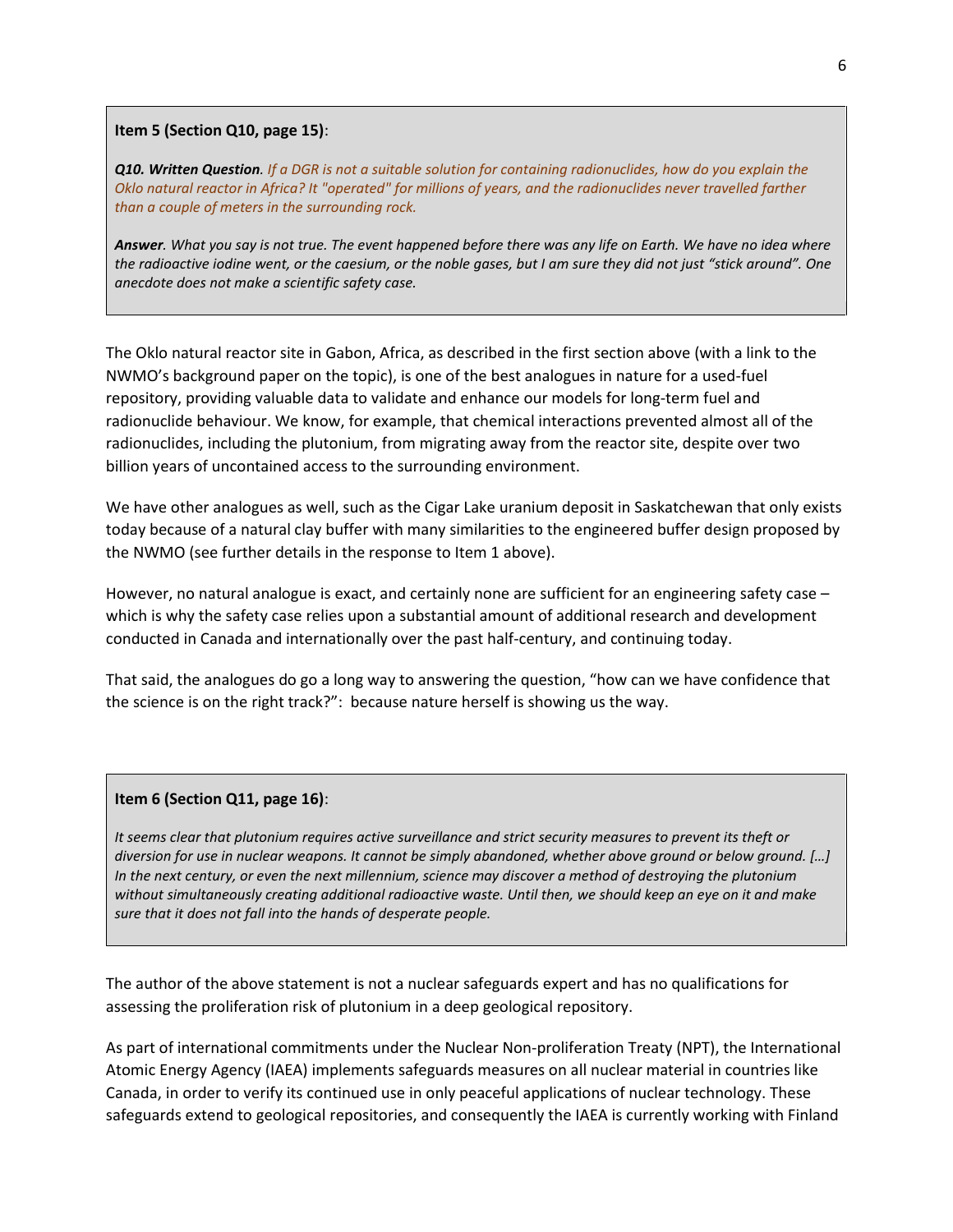#### **Item 5 (Section Q10, page 15)**:

*Q10. Written Question. If a DGR is not a suitable solution for containing radionuclides, how do you explain the Oklo natural reactor in Africa? It "operated" for millions of years, and the radionuclides never travelled farther than a couple of meters in the surrounding rock.*

*Answer. What you say is not true. The event happened before there was any life on Earth. We have no idea where the radioactive iodine went, or the caesium, or the noble gases, but I am sure they did not just "stick around". One anecdote does not make a scientific safety case.*

The Oklo natural reactor site in Gabon, Africa, as described in the first section above (with a link to the NWMO's background paper on the topic), is one of the best analogues in nature for a used-fuel repository, providing valuable data to validate and enhance our models for long-term fuel and radionuclide behaviour. We know, for example, that chemical interactions prevented almost all of the radionuclides, including the plutonium, from migrating away from the reactor site, despite over two billion years of uncontained access to the surrounding environment.

We have other analogues as well, such as the Cigar Lake uranium deposit in Saskatchewan that only exists today because of a natural clay buffer with many similarities to the engineered buffer design proposed by the NWMO (see further details in the response to Item 1 above).

However, no natural analogue is exact, and certainly none are sufficient for an engineering safety case – which is why the safety case relies upon a substantial amount of additional research and development conducted in Canada and internationally over the past half-century, and continuing today.

That said, the analogues do go a long way to answering the question, "how can we have confidence that the science is on the right track?": because nature herself is showing us the way.

## **Item 6 (Section Q11, page 16)**:

*It seems clear that plutonium requires active surveillance and strict security measures to prevent its theft or diversion for use in nuclear weapons. It cannot be simply abandoned, whether above ground or below ground. […] In the next century, or even the next millennium, science may discover a method of destroying the plutonium without simultaneously creating additional radioactive waste. Until then, we should keep an eye on it and make sure that it does not fall into the hands of desperate people.* 

The author of the above statement is not a nuclear safeguards expert and has no qualifications for assessing the proliferation risk of plutonium in a deep geological repository.

As part of international commitments under the Nuclear Non-proliferation Treaty (NPT), the International Atomic Energy Agency (IAEA) implements safeguards measures on all nuclear material in countries like Canada, in order to verify its continued use in only peaceful applications of nuclear technology. These safeguards extend to geological repositories, and consequently the IAEA is currently working with Finland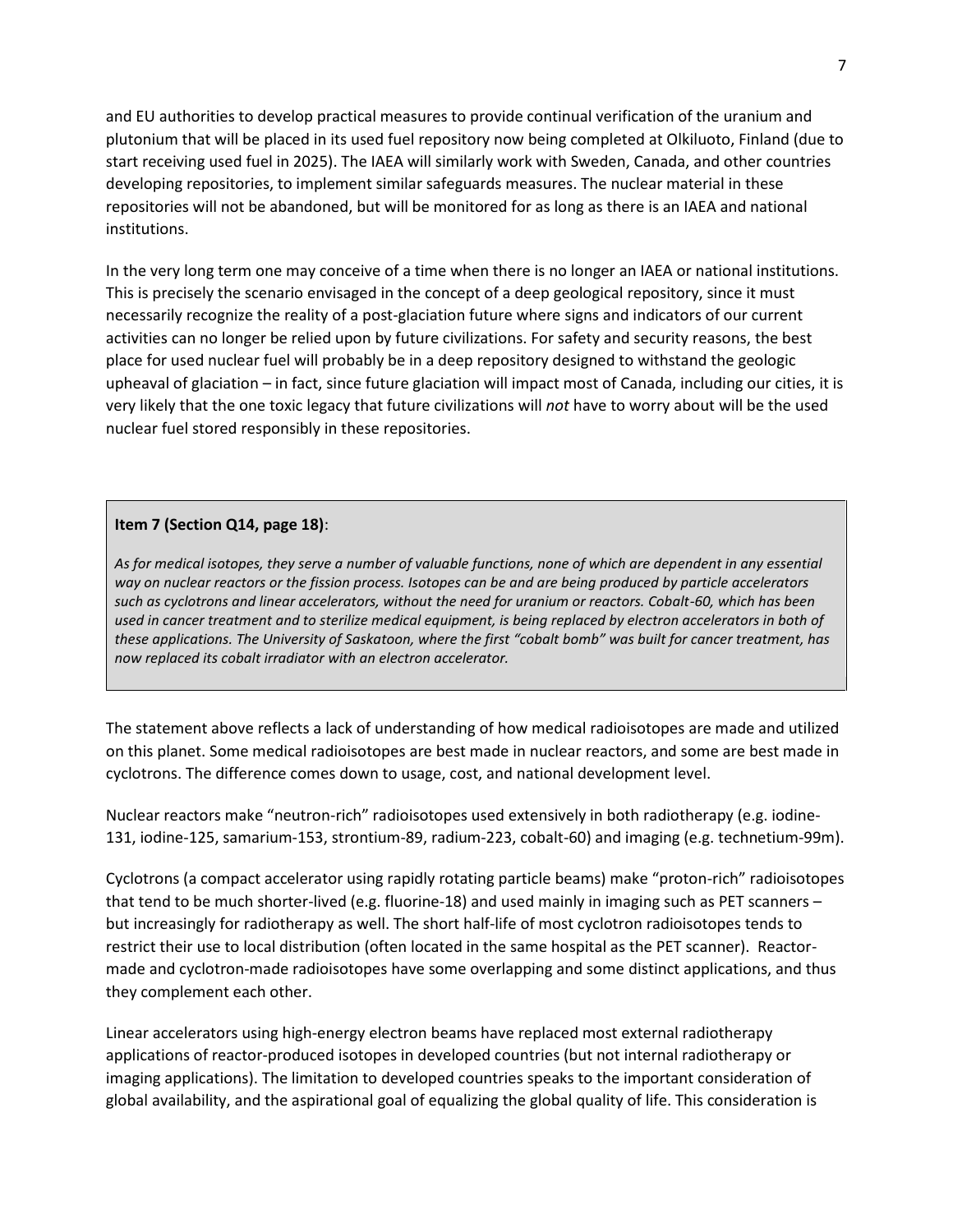and EU authorities to develop practical measures to provide continual verification of the uranium and plutonium that will be placed in its used fuel repository now being completed at Olkiluoto, Finland (due to start receiving used fuel in 2025). The IAEA will similarly work with Sweden, Canada, and other countries developing repositories, to implement similar safeguards measures. The nuclear material in these repositories will not be abandoned, but will be monitored for as long as there is an IAEA and national institutions.

In the very long term one may conceive of a time when there is no longer an IAEA or national institutions. This is precisely the scenario envisaged in the concept of a deep geological repository, since it must necessarily recognize the reality of a post-glaciation future where signs and indicators of our current activities can no longer be relied upon by future civilizations. For safety and security reasons, the best place for used nuclear fuel will probably be in a deep repository designed to withstand the geologic upheaval of glaciation – in fact, since future glaciation will impact most of Canada, including our cities, it is very likely that the one toxic legacy that future civilizations will *not* have to worry about will be the used nuclear fuel stored responsibly in these repositories.

# **Item 7 (Section Q14, page 18)**:

As for medical isotopes, they serve a number of valuable functions, none of which are dependent in any essential *way on nuclear reactors or the fission process. Isotopes can be and are being produced by particle accelerators such as cyclotrons and linear accelerators, without the need for uranium or reactors. Cobalt-60, which has been used in cancer treatment and to sterilize medical equipment, is being replaced by electron accelerators in both of these applications. The University of Saskatoon, where the first "cobalt bomb" was built for cancer treatment, has now replaced its cobalt irradiator with an electron accelerator.* 

The statement above reflects a lack of understanding of how medical radioisotopes are made and utilized on this planet. Some medical radioisotopes are best made in nuclear reactors, and some are best made in cyclotrons. The difference comes down to usage, cost, and national development level.

Nuclear reactors make "neutron-rich" radioisotopes used extensively in both radiotherapy (e.g. iodine-131, iodine-125, samarium-153, strontium-89, radium-223, cobalt-60) and imaging (e.g. technetium-99m).

Cyclotrons (a compact accelerator using rapidly rotating particle beams) make "proton-rich" radioisotopes that tend to be much shorter-lived (e.g. fluorine-18) and used mainly in imaging such as PET scanners – but increasingly for radiotherapy as well. The short half-life of most cyclotron radioisotopes tends to restrict their use to local distribution (often located in the same hospital as the PET scanner). Reactormade and cyclotron-made radioisotopes have some overlapping and some distinct applications, and thus they complement each other.

Linear accelerators using high-energy electron beams have replaced most external radiotherapy applications of reactor-produced isotopes in developed countries (but not internal radiotherapy or imaging applications). The limitation to developed countries speaks to the important consideration of global availability, and the aspirational goal of equalizing the global quality of life. This consideration is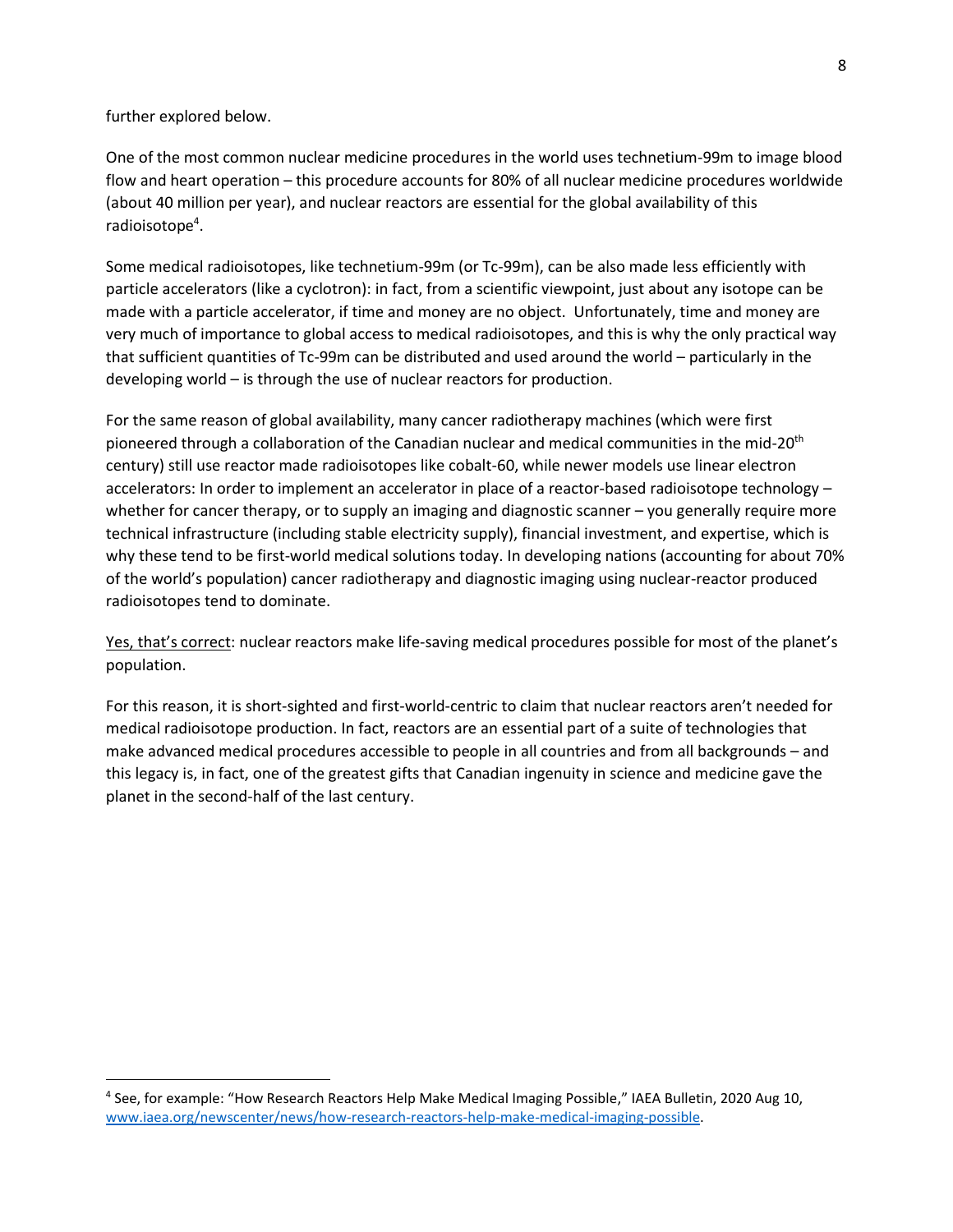further explored below.

 $\overline{a}$ 

One of the most common nuclear medicine procedures in the world uses technetium-99m to image blood flow and heart operation – this procedure accounts for 80% of all nuclear medicine procedures worldwide (about 40 million per year), and nuclear reactors are essential for the global availability of this radioisotope<sup>4</sup>.

Some medical radioisotopes, like technetium-99m (or Tc-99m), can be also made less efficiently with particle accelerators (like a cyclotron): in fact, from a scientific viewpoint, just about any isotope can be made with a particle accelerator, if time and money are no object. Unfortunately, time and money are very much of importance to global access to medical radioisotopes, and this is why the only practical way that sufficient quantities of Tc-99m can be distributed and used around the world – particularly in the developing world – is through the use of nuclear reactors for production.

For the same reason of global availability, many cancer radiotherapy machines (which were first pioneered through a collaboration of the Canadian nuclear and medical communities in the mid-20<sup>th</sup> century) still use reactor made radioisotopes like cobalt-60, while newer models use linear electron accelerators: In order to implement an accelerator in place of a reactor-based radioisotope technology – whether for cancer therapy, or to supply an imaging and diagnostic scanner – you generally require more technical infrastructure (including stable electricity supply), financial investment, and expertise, which is why these tend to be first-world medical solutions today. In developing nations (accounting for about 70% of the world's population) cancer radiotherapy and diagnostic imaging using nuclear-reactor produced radioisotopes tend to dominate.

Yes, that's correct: nuclear reactors make life-saving medical procedures possible for most of the planet's population.

For this reason, it is short-sighted and first-world-centric to claim that nuclear reactors aren't needed for medical radioisotope production. In fact, reactors are an essential part of a suite of technologies that make advanced medical procedures accessible to people in all countries and from all backgrounds – and this legacy is, in fact, one of the greatest gifts that Canadian ingenuity in science and medicine gave the planet in the second-half of the last century.

<sup>&</sup>lt;sup>4</sup> See, for example: "How Research Reactors Help Make Medical Imaging Possible," IAEA Bulletin, 2020 Aug 10, [www.iaea.org/newscenter/news/how-research-reactors-help-make-medical-imaging-possible.](https://www.iaea.org/newscenter/news/how-research-reactors-help-make-medical-imaging-possible)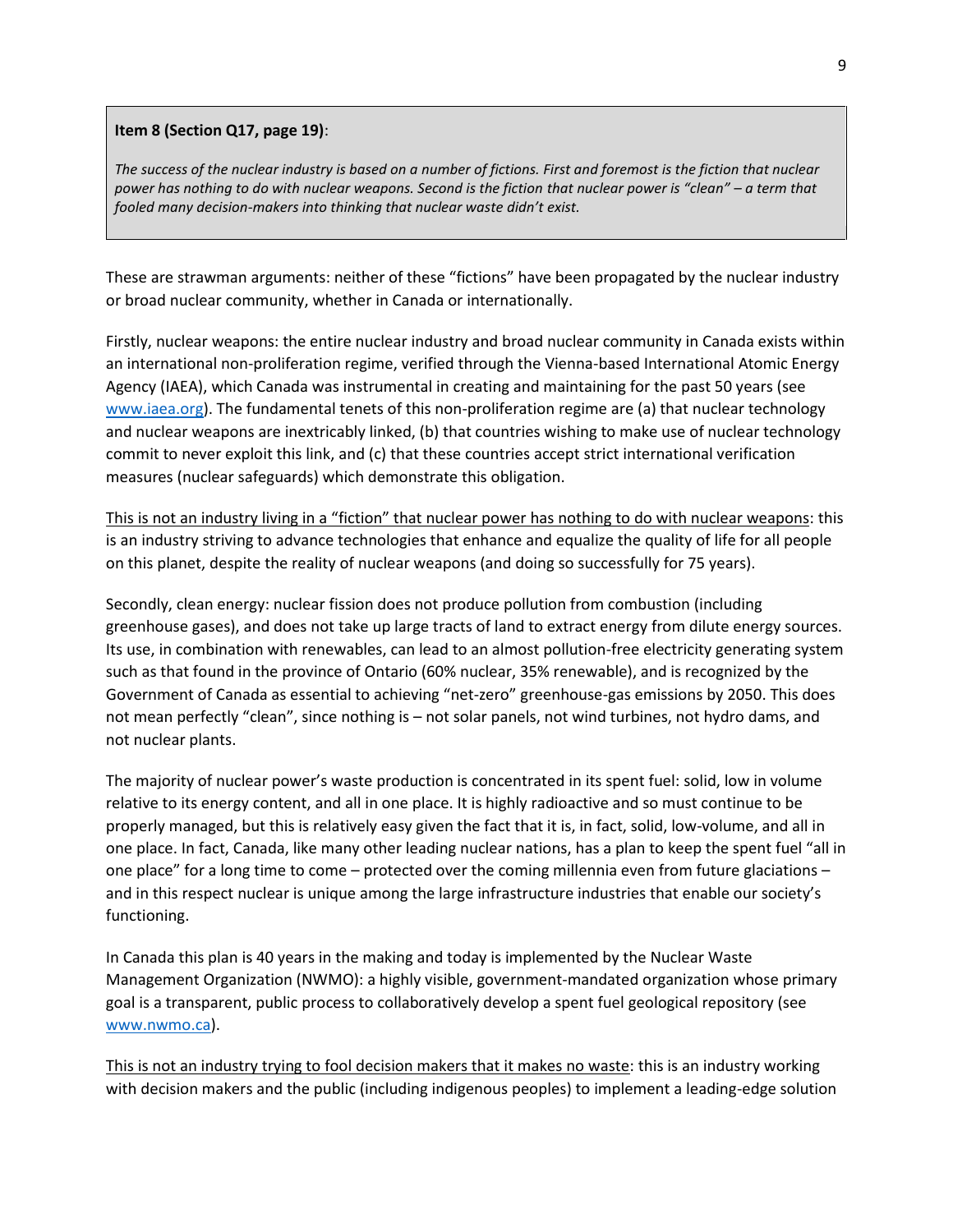### **Item 8 (Section Q17, page 19)**:

The success of the nuclear industry is based on a number of fictions. First and foremost is the fiction that nuclear *power has nothing to do with nuclear weapons. Second is the fiction that nuclear power is "clean" – a term that fooled many decision-makers into thinking that nuclear waste didn't exist.* 

These are strawman arguments: neither of these "fictions" have been propagated by the nuclear industry or broad nuclear community, whether in Canada or internationally.

Firstly, nuclear weapons: the entire nuclear industry and broad nuclear community in Canada exists within an international non-proliferation regime, verified through the Vienna-based International Atomic Energy Agency (IAEA), which Canada was instrumental in creating and maintaining for the past 50 years (see [www.iaea.org\)](http://www.iaea.org/). The fundamental tenets of this non-proliferation regime are (a) that nuclear technology and nuclear weapons are inextricably linked, (b) that countries wishing to make use of nuclear technology commit to never exploit this link, and (c) that these countries accept strict international verification measures (nuclear safeguards) which demonstrate this obligation.

This is not an industry living in a "fiction" that nuclear power has nothing to do with nuclear weapons: this is an industry striving to advance technologies that enhance and equalize the quality of life for all people on this planet, despite the reality of nuclear weapons (and doing so successfully for 75 years).

Secondly, clean energy: nuclear fission does not produce pollution from combustion (including greenhouse gases), and does not take up large tracts of land to extract energy from dilute energy sources. Its use, in combination with renewables, can lead to an almost pollution-free electricity generating system such as that found in the province of Ontario (60% nuclear, 35% renewable), and is recognized by the Government of Canada as essential to achieving "net-zero" greenhouse-gas emissions by 2050. This does not mean perfectly "clean", since nothing is – not solar panels, not wind turbines, not hydro dams, and not nuclear plants.

The majority of nuclear power's waste production is concentrated in its spent fuel: solid, low in volume relative to its energy content, and all in one place. It is highly radioactive and so must continue to be properly managed, but this is relatively easy given the fact that it is, in fact, solid, low-volume, and all in one place. In fact, Canada, like many other leading nuclear nations, has a plan to keep the spent fuel "all in one place" for a long time to come – protected over the coming millennia even from future glaciations – and in this respect nuclear is unique among the large infrastructure industries that enable our society's functioning.

In Canada this plan is 40 years in the making and today is implemented by the Nuclear Waste Management Organization (NWMO): a highly visible, government-mandated organization whose primary goal is a transparent, public process to collaboratively develop a spent fuel geological repository (see [www.nwmo.ca\)](http://www.nwmo.ca/).

This is not an industry trying to fool decision makers that it makes no waste: this is an industry working with decision makers and the public (including indigenous peoples) to implement a leading-edge solution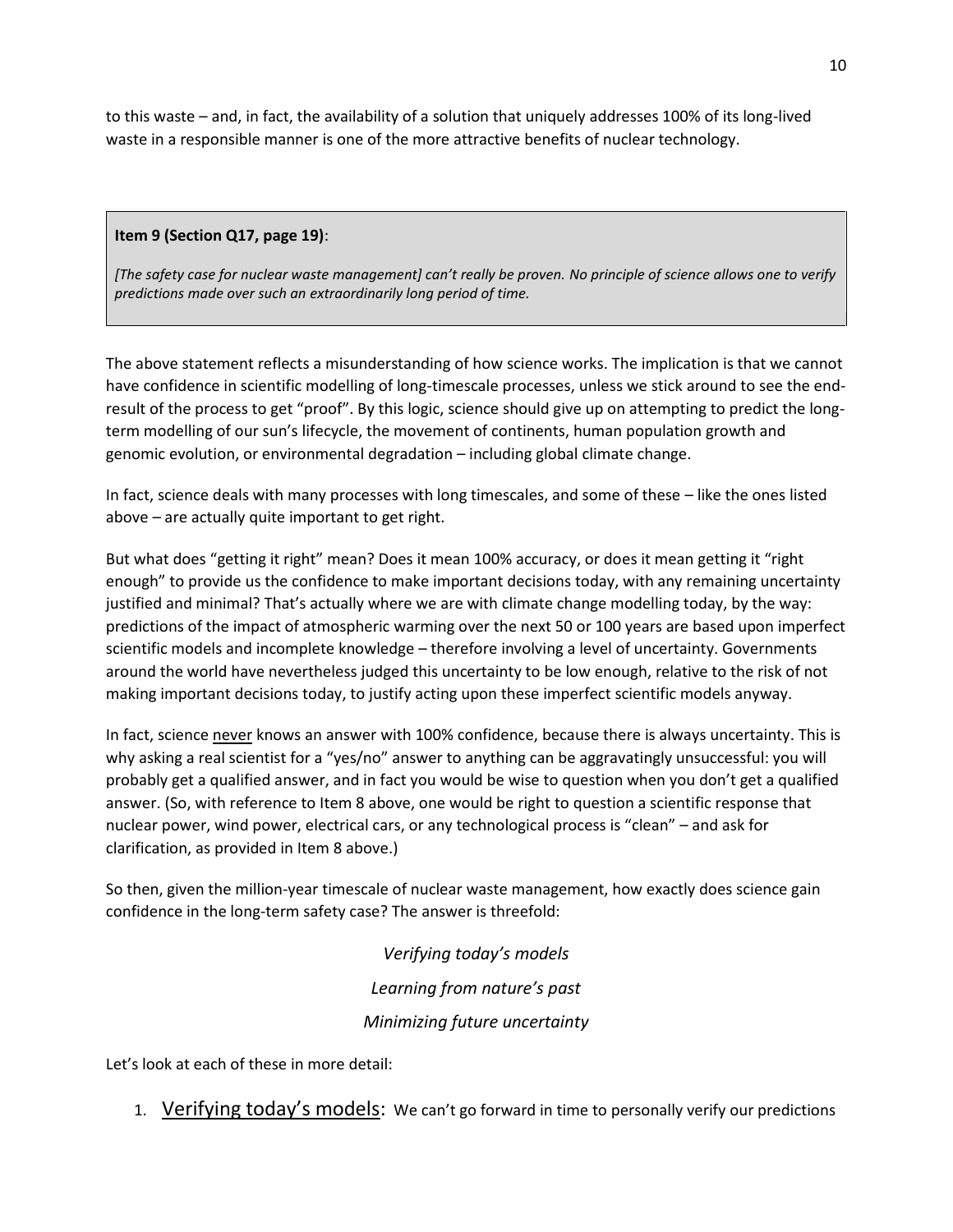to this waste – and, in fact, the availability of a solution that uniquely addresses 100% of its long-lived waste in a responsible manner is one of the more attractive benefits of nuclear technology.

# **Item 9 (Section Q17, page 19)**:

*[The safety case for nuclear waste management] can't really be proven. No principle of science allows one to verify predictions made over such an extraordinarily long period of time.*

The above statement reflects a misunderstanding of how science works. The implication is that we cannot have confidence in scientific modelling of long-timescale processes, unless we stick around to see the endresult of the process to get "proof". By this logic, science should give up on attempting to predict the longterm modelling of our sun's lifecycle, the movement of continents, human population growth and genomic evolution, or environmental degradation – including global climate change.

In fact, science deals with many processes with long timescales, and some of these – like the ones listed above – are actually quite important to get right.

But what does "getting it right" mean? Does it mean 100% accuracy, or does it mean getting it "right enough" to provide us the confidence to make important decisions today, with any remaining uncertainty justified and minimal? That's actually where we are with climate change modelling today, by the way: predictions of the impact of atmospheric warming over the next 50 or 100 years are based upon imperfect scientific models and incomplete knowledge – therefore involving a level of uncertainty. Governments around the world have nevertheless judged this uncertainty to be low enough, relative to the risk of not making important decisions today, to justify acting upon these imperfect scientific models anyway.

In fact, science never knows an answer with 100% confidence, because there is always uncertainty. This is why asking a real scientist for a "yes/no" answer to anything can be aggravatingly unsuccessful: you will probably get a qualified answer, and in fact you would be wise to question when you don't get a qualified answer. (So, with reference to Item 8 above, one would be right to question a scientific response that nuclear power, wind power, electrical cars, or any technological process is "clean" – and ask for clarification, as provided in Item 8 above.)

So then, given the million-year timescale of nuclear waste management, how exactly does science gain confidence in the long-term safety case? The answer is threefold:

> *Verifying today's models Learning from nature's past Minimizing future uncertainty*

Let's look at each of these in more detail:

1. Verifying today's models: We can't go forward in time to personally verify our predictions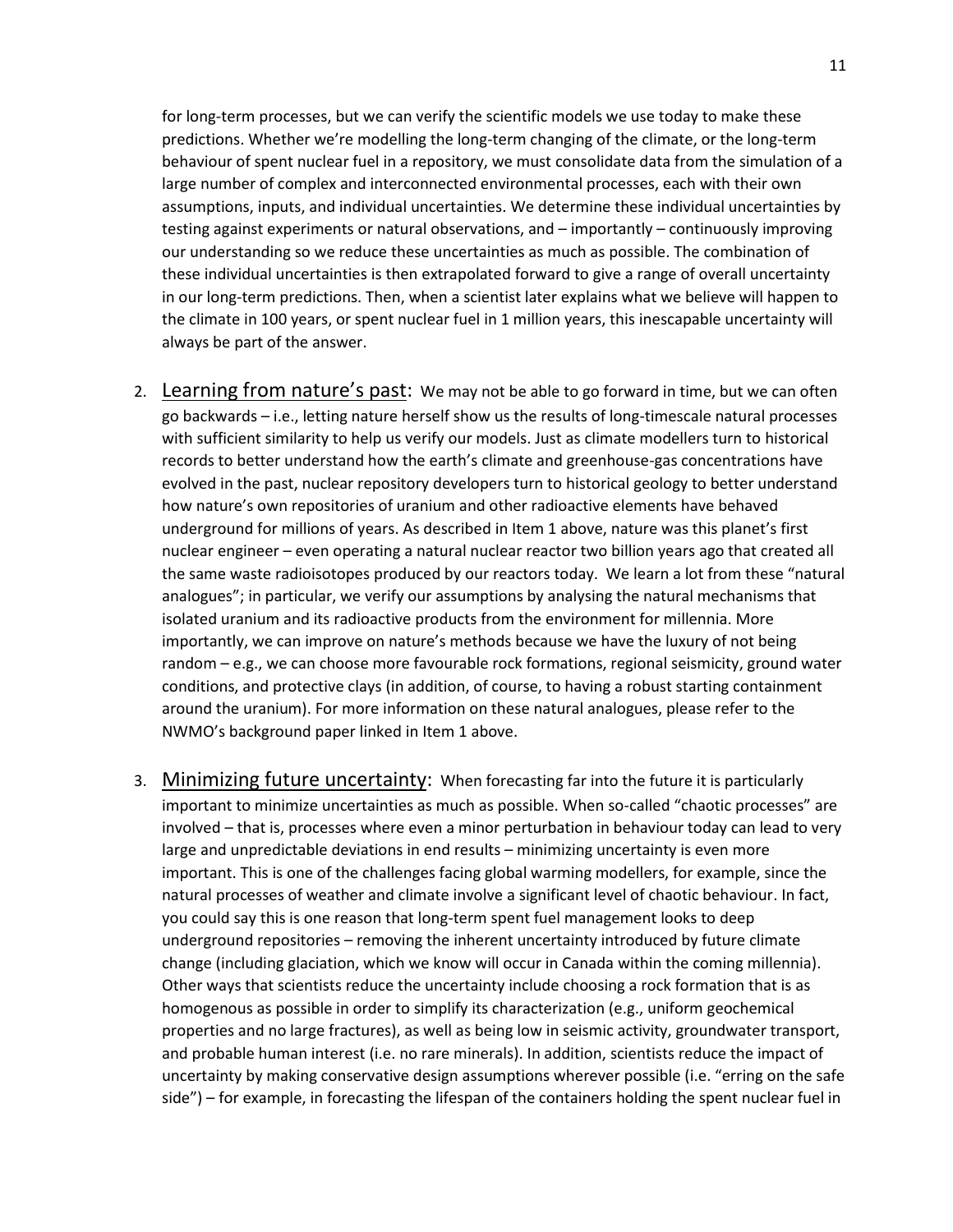for long-term processes, but we can verify the scientific models we use today to make these predictions. Whether we're modelling the long-term changing of the climate, or the long-term behaviour of spent nuclear fuel in a repository, we must consolidate data from the simulation of a large number of complex and interconnected environmental processes, each with their own assumptions, inputs, and individual uncertainties. We determine these individual uncertainties by testing against experiments or natural observations, and – importantly – continuously improving our understanding so we reduce these uncertainties as much as possible. The combination of these individual uncertainties is then extrapolated forward to give a range of overall uncertainty in our long-term predictions. Then, when a scientist later explains what we believe will happen to the climate in 100 years, or spent nuclear fuel in 1 million years, this inescapable uncertainty will always be part of the answer.

- 2. Learning from nature's past: We may not be able to go forward in time, but we can often go backwards – i.e., letting nature herself show us the results of long-timescale natural processes with sufficient similarity to help us verify our models. Just as climate modellers turn to historical records to better understand how the earth's climate and greenhouse-gas concentrations have evolved in the past, nuclear repository developers turn to historical geology to better understand how nature's own repositories of uranium and other radioactive elements have behaved underground for millions of years. As described in Item 1 above, nature was this planet's first nuclear engineer – even operating a natural nuclear reactor two billion years ago that created all the same waste radioisotopes produced by our reactors today. We learn a lot from these "natural analogues"; in particular, we verify our assumptions by analysing the natural mechanisms that isolated uranium and its radioactive products from the environment for millennia. More importantly, we can improve on nature's methods because we have the luxury of not being random – e.g., we can choose more favourable rock formations, regional seismicity, ground water conditions, and protective clays (in addition, of course, to having a robust starting containment around the uranium). For more information on these natural analogues, please refer to the NWMO's background paper linked in Item 1 above.
- 3. Minimizing future uncertainty: When forecasting far into the future it is particularly important to minimize uncertainties as much as possible. When so-called "chaotic processes" are involved – that is, processes where even a minor perturbation in behaviour today can lead to very large and unpredictable deviations in end results – minimizing uncertainty is even more important. This is one of the challenges facing global warming modellers, for example, since the natural processes of weather and climate involve a significant level of chaotic behaviour. In fact, you could say this is one reason that long-term spent fuel management looks to deep underground repositories – removing the inherent uncertainty introduced by future climate change (including glaciation, which we know will occur in Canada within the coming millennia). Other ways that scientists reduce the uncertainty include choosing a rock formation that is as homogenous as possible in order to simplify its characterization (e.g., uniform geochemical properties and no large fractures), as well as being low in seismic activity, groundwater transport, and probable human interest (i.e. no rare minerals). In addition, scientists reduce the impact of uncertainty by making conservative design assumptions wherever possible (i.e. "erring on the safe side") – for example, in forecasting the lifespan of the containers holding the spent nuclear fuel in